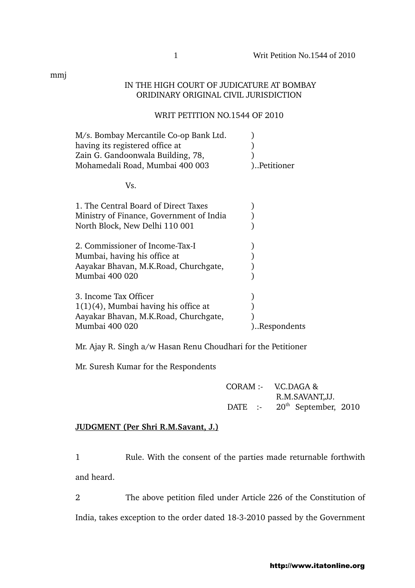# IN THE HIGH COURT OF JUDICATURE AT BOMBAY ORIDINARY ORIGINAL CIVIL JURISDICTION

# WRIT PETITION NO.1544 OF 2010

| M/s. Bombay Mercantile Co-op Bank Ltd. |             |
|----------------------------------------|-------------|
| having its registered office at        |             |
| Zain G. Gandoonwala Building, 78,      |             |
| Mohamedali Road, Mumbai 400 003        | )Petitioner |

## Vs.

| 1. The Central Board of Direct Taxes<br>Ministry of Finance, Government of India |              |
|----------------------------------------------------------------------------------|--------------|
| North Block, New Delhi 110 001                                                   |              |
| 2. Commissioner of Income-Tax-I                                                  |              |
| Mumbai, having his office at                                                     |              |
| Aayakar Bhavan, M.K.Road, Churchgate,                                            |              |
| Mumbai 400 020                                                                   |              |
| 3. Income Tax Officer                                                            |              |
| $1(1)(4)$ , Mumbai having his office at                                          |              |
| Aayakar Bhavan, M.K.Road, Churchgate,                                            |              |
| Mumbai 400 020                                                                   | )Respondents |

Mr. Ajay R. Singh a/w Hasan Renu Choudhari for the Petitioner

Mr. Suresh Kumar for the Respondents

|  | CORAM: V.C.DAGA &              |
|--|--------------------------------|
|  | R.M.SAVANT,JJ.                 |
|  | DATE :- $20th$ September, 2010 |

## **JUDGMENT (Per Shri R.M.Savant, J.)**

1 Rule. With the consent of the parties made returnable forthwith and heard.

2 The above petition filed under Article 226 of the Constitution of India, takes exception to the order dated 18-3-2010 passed by the Government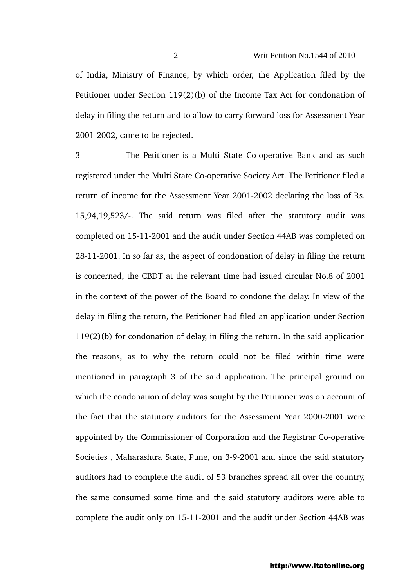of India, Ministry of Finance, by which order, the Application filed by the Petitioner under Section 119(2)(b) of the Income Tax Act for condonation of delay in filing the return and to allow to carry forward loss for Assessment Year 2001-2002, came to be rejected.

3 The Petitioner is a Multi State Co-operative Bank and as such registered under the Multi State Co-operative Society Act. The Petitioner filed a return of income for the Assessment Year 2001-2002 declaring the loss of Rs.  $15,94,19,523/$ . The said return was filed after the statutory audit was completed on 15-11-2001 and the audit under Section 44AB was completed on 28-11-2001. In so far as, the aspect of condonation of delay in filing the return is concerned, the CBDT at the relevant time had issued circular No.8 of 2001 in the context of the power of the Board to condone the delay. In view of the delay in filing the return, the Petitioner had filed an application under Section 119(2)(b) for condonation of delay, in filing the return. In the said application the reasons, as to why the return could not be filed within time were mentioned in paragraph 3 of the said application. The principal ground on which the condonation of delay was sought by the Petitioner was on account of the fact that the statutory auditors for the Assessment Year 2000-2001 were appointed by the Commissioner of Corporation and the Registrar Co-operative Societies, Maharashtra State, Pune, on 3-9-2001 and since the said statutory auditors had to complete the audit of 53 branches spread all over the country, the same consumed some time and the said statutory auditors were able to complete the audit only on 15-11-2001 and the audit under Section 44AB was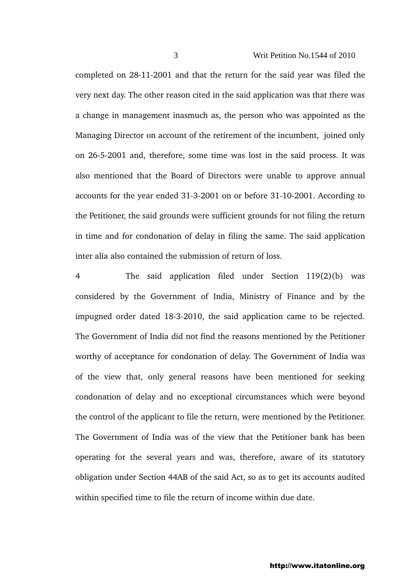completed on 28-11-2001 and that the return for the said year was filed the very next day. The other reason cited in the said application was that there was a change in management inasmuch as, the person who was appointed as the Managing Director on account of the retirement of the incumbent, joined only on 26-5-2001 and, therefore, some time was lost in the said process. It was also mentioned that the Board of Directors were unable to approve annual accounts for the year ended 31-3-2001 on or before 31-10-2001. According to the Petitioner, the said grounds were sufficient grounds for not filing the return in time and for condonation of delay in filing the same. The said application inter alia also contained the submission of return of loss.

4 The said application filed under Section 119(2)(b) was considered by the Government of India, Ministry of Finance and by the impugned order dated 18-3-2010, the said application came to be rejected. The Government of India did not find the reasons mentioned by the Petitioner worthy of acceptance for condonation of delay. The Government of India was of the view that, only general reasons have been mentioned for seeking condonation of delay and no exceptional circumstances which were beyond the control of the applicant to file the return, were mentioned by the Petitioner. The Government of India was of the view that the Petitioner bank has been operating for the several years and was, therefore, aware of its statutory obligation under Section 44AB of the said Act, so as to get its accounts audited within specified time to file the return of income within due date.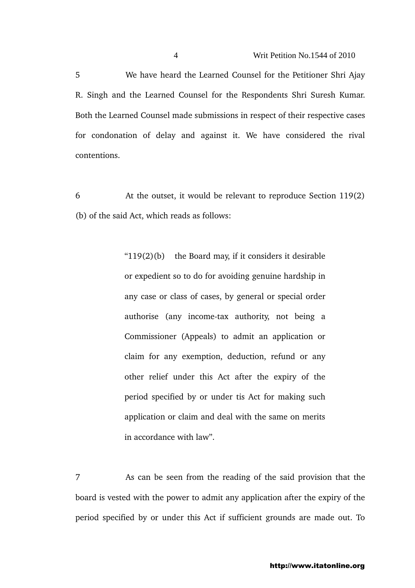5 We have heard the Learned Counsel for the Petitioner Shri Ajay R. Singh and the Learned Counsel for the Respondents Shri Suresh Kumar. Both the Learned Counsel made submissions in respect of their respective cases for condonation of delay and against it. We have considered the rival contentions.

6 At the outset, it would be relevant to reproduce Section 119(2) (b) of the said Act, which reads as follows:

> " $119(2)$ (b) the Board may, if it considers it desirable or expedient so to do for avoiding genuine hardship in any case or class of cases, by general or special order authorise (any income-tax authority, not being a Commissioner (Appeals) to admit an application or claim for any exemption, deduction, refund or any other relief under this Act after the expiry of the period specified by or under tis Act for making such application or claim and deal with the same on merits in accordance with law".

7 As can be seen from the reading of the said provision that the board is vested with the power to admit any application after the expiry of the period specified by or under this Act if sufficient grounds are made out. To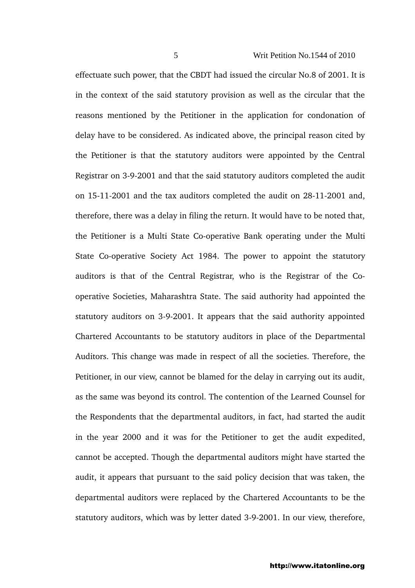effectuate such power, that the CBDT had issued the circular No.8 of 2001. It is in the context of the said statutory provision as well as the circular that the reasons mentioned by the Petitioner in the application for condonation of delay have to be considered. As indicated above, the principal reason cited by the Petitioner is that the statutory auditors were appointed by the Central Registrar on 3-9-2001 and that the said statutory auditors completed the audit on 15-11-2001 and the tax auditors completed the audit on 28-11-2001 and, therefore, there was a delay in filing the return. It would have to be noted that, the Petitioner is a Multi State Co-operative Bank operating under the Multi State Co-operative Society Act 1984. The power to appoint the statutory auditors is that of the Central Registrar, who is the Registrar of the Cooperative Societies, Maharashtra State. The said authority had appointed the statutory auditors on 3-9-2001. It appears that the said authority appointed Chartered Accountants to be statutory auditors in place of the Departmental Auditors. This change was made in respect of all the societies. Therefore, the Petitioner, in our view, cannot be blamed for the delay in carrying out its audit, as the same was beyond its control. The contention of the Learned Counsel for the Respondents that the departmental auditors, in fact, had started the audit in the year 2000 and it was for the Petitioner to get the audit expedited, cannot be accepted. Though the departmental auditors might have started the audit, it appears that pursuant to the said policy decision that was taken, the departmental auditors were replaced by the Chartered Accountants to be the statutory auditors, which was by letter dated 3-9-2001. In our view, therefore,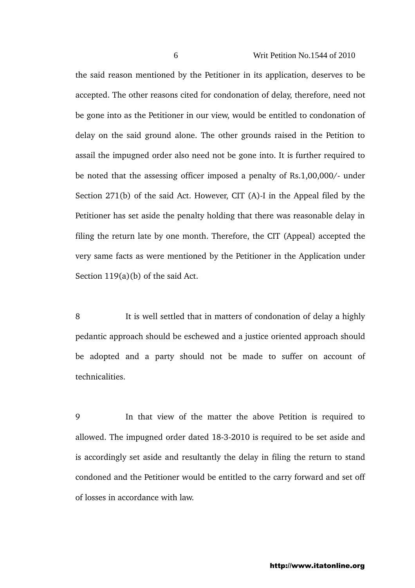the said reason mentioned by the Petitioner in its application, deserves to be accepted. The other reasons cited for condonation of delay, therefore, need not be gone into as the Petitioner in our view, would be entitled to condonation of delay on the said ground alone. The other grounds raised in the Petition to assail the impugned order also need not be gone into. It is further required to be noted that the assessing officer imposed a penalty of Rs.1,00,000/- under Section 271(b) of the said Act. However, CIT (A)-I in the Appeal filed by the Petitioner has set aside the penalty holding that there was reasonable delay in filing the return late by one month. Therefore, the CIT (Appeal) accepted the very same facts as were mentioned by the Petitioner in the Application under Section 119(a)(b) of the said Act.

8 It is well settled that in matters of condonation of delay a highly pedantic approach should be eschewed and a justice oriented approach should be adopted and a party should not be made to suffer on account of technicalities.

9 In that view of the matter the above Petition is required to allowed. The impugned order dated 18-3-2010 is required to be set aside and is accordingly set aside and resultantly the delay in filing the return to stand condoned and the Petitioner would be entitled to the carry forward and set off of losses in accordance with law.